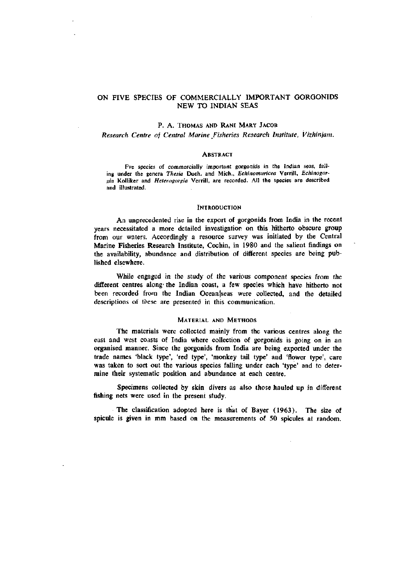# ON FIVE SPECIES OF COMMERCIALLY IMPORTANT GORGONIDS NEW TO INDIAN SEAS

## P. A. THOMAS AND RANI MARY JACOB

*Research Centre of Central Marine Fisheries Research Institute, Vizhinjam.* 

### **ABSTRACT**

Fve species of commercially important gorgonids in the Indian seas, falling under the genera *Thesia* Duch. and Mich., *Echinomuricea* Verrill, *Echinogoru'la* Kolliker and *Heterogorgia* Verrill, are recorded. All the species are described and illustrated.

#### **INTRODUCTION**

An unprecedented rise in the export of gorgonids from India in the recent years necessitated a more detailed investigation on this hitherto obscure group from our waters. Accordingly a resource survey was initiated by the Central Marine Fisheries Research Institute, Cochin, in 1980 and the salient findings on the availability, abundance and distribution of different species are being published elsewhere.

While engaged in the study of the various component species from the different centres along the Indian coast, a few species which have hitherto not been recorded from the Indian Ocean|seas were collected, and the detailed descriptions of these are presented in this communication.

### MATERIAL AND METHODS

The materials were collected mainly from the various centres along the east and west coasts of India where collection of gorgonids is going on in an organised manner. Since the gorgonids from India are being exported under the trade names 'black type', 'red type', 'monkey tail type' and 'flower type', care was taken to sort out the various species falling under each 'type' and to determine their systematic position and abundance at each centre.

Specimens collected by skin divers as also those hauled up in different fishing nets were used in the present study.

The classification adopted here is that of Bayer (1963). The size of spicule is given in mm based on the measurements of 50 spicules at random.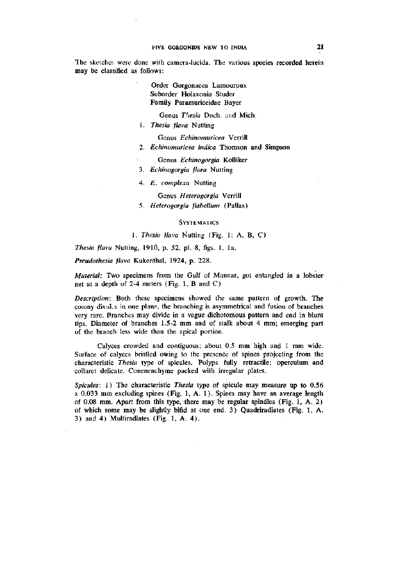The sketches were done with camera-lucida. The various species recorded herein may be classified as follows:

> Order Gorgonacea Lamouroux Suborder Holaxonia Studer Family Paramuriceidae Bayer

> > Genus Thesia Duch. and Mich.

1. *Thesia flava* Nutting

Genus *Echinomuricea* Verrill

- 2. *Echinomuricea indica* Thomson and Simpson
	- Genus *Echinogorgia* Kolliker
- 3. *Echinogorgia flora* Nutting
- 4. *E. complexa* Nutting

Genus *Heterogorgia* Verrill

5. *Heterogorgia jlahellum* (Pallas)

### **SYSTEMATICS**

1. *Thesia flava* Nutting (Fig. 1; A, B, C)

*Thesia flava* Nutting, 1910, p. 52, pi. 8, figs. 1, la.

*Pseudothesia flava* Kukenthal, 1924, p. 228.

*Material:* Two specimens from the Gulf of Mannar, got entangled in a lobster net at a depth of 2-4 meters (Fig. 1, B and C).

*Description:* Both these specimens showed the same pattern of growth. The coiony divid.s in one plane, the branching is asymmetrical and fusion of branches very rare. Branches may divide in a vague dichotomous pattern and end in blunt tips. Diameter of branches 1.5-2 mm and of stalk about 4 mm; emerging part of the branch less wide than the apical portion.

Calyces crowded and contiguous; about 0.5 mm high and 1 mm wide. Surface of calyces bristled owing to the presence of spines projecting from the characteristic *Thesia* type of spicules. Polyps fully retractile; operculum and collaret delicate. Conenenchyme packed with irregular plates.

*Spicules:* 1) The characteristic *Thesia* type of spicule may measure up to 0.56 X 0.033 mm excluding spines (Fig. 1, A. 1). Spines may have an average length of 0.08 mm. Apart from this type, there may be regular spindles (Fig. 1, A. 2) of which some may be slightly bifid at one end. 3) Quadriradiates (Fig. 1, A. 3) and 4) Multiradiates (Fig. 1, A. 4).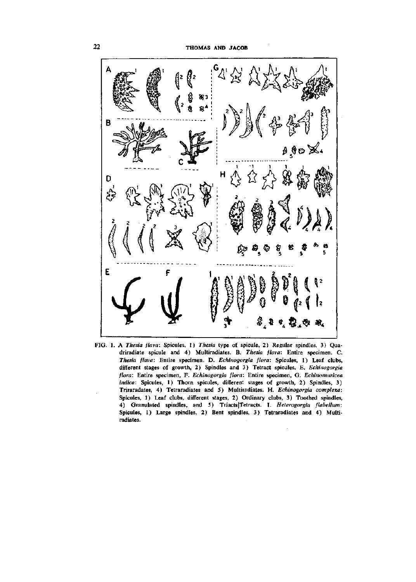

FIG. 1. A *Thesia flava:* Spicules, 1) *Thesia* type of spicule, 2) Regular spindles, 3) Quadriradiate spicule and 4) Multiradiates. B. *Thesia flava:* Entire specimen. C. *Thesia flava:* Entire specimen. D. *Echinogorgia flora:* Spicules, 1) Leaf clubs, different stages of growth, 2) Spindles and 3) Tetract spicules. E. *Echinogorgia flora:* Entire specimen, F. *Echinogorgia flora:* Entire specimen, G. *Echinomuricea*  indica: Spicules, 1) Thorn spicules, different stages of growth, 2) Spindles, 3) Triraradates, 4) Tetraradiates and 5) Multiradiates. H. *Echinogorgia complexa:*  Spicules, 1) Leaf clubs, different stages, 2) Ordinary clubs, 3) Toothed spindles, 4) Granulated spindles, and 5) Triacts|Tetracts. I. Heterogorgia flabellum: Spicules, 1) Large spindles, 2) Bent spindles, 3) Tetraradiates and 4) Multiradiates.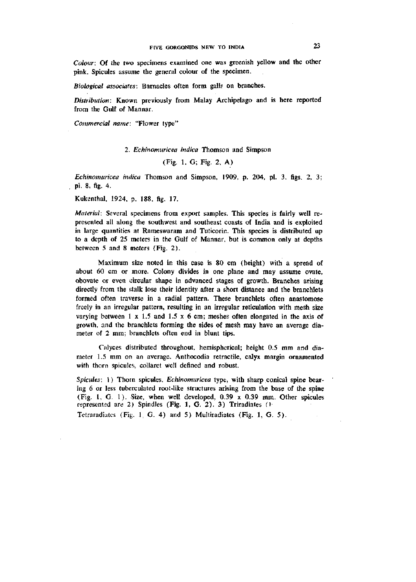*Colour:* Of the two specimens examined one was greenish yellow and the other pink. Spicules assume the general colour of the specimen.

*Biological associates:* Barnacles often form galls on branches.

*Distribution:* Known previously from Malay Archipelago and is here reported from the Gulf of Mannar.

*Commercial name:* "Flower type"

### 2. *Echinomuricea indica* Thomson and Simpson

## (Fig. 1, G; Fig. 2. A)

*Echinomuricea indica* Thomson and Simpson, 1909, p. 204, pi. 3, figs. 2, 3; pi. 8, fig. 4.

Kukenthal, 1924, p. 188, fig. 17.

*Material:* Several specimens from export samples. This species is fairly well represented all along the southwest and southeast coasts of India and is exploited in large quantities at Rameswaram and Tuticorin. This species is distributed up to a depth of 25 meters in the Gulf of Mannar, but is common only at depths between 5 and 8 meters (Fig. 2).

Maximum size noted in this case is 80 cm (height) with a spread of about 60 cm or more. Colony divides in one plane and may assume ovate, obovate or even circular shape in advanced stages of growth. Branches arising directly from the stalk lose their identity after a short distance and the branchlets formed often traverse in a radial pattern. These branchlets often anastomose freely in an irregular pattern, resulting in an irregular reticulation with mesh size varying between  $1 \times 1.5$  and  $1.5 \times 6$  cm; meshes often elongated in the axis of growth, and the branchlets forming the sides of mesh may have an average diameter of 2 mm; branchlets often end in blunt tips.

Calyces distributed throughout, hemispherical; height 0.5 mm and diameter 1.5 mm on an average. Anthocodia retractile, calyx margin ornamented with thorn spicules, collaret well defined and robust.

*Spicules:* 1) Thorn spicules. *Echinomuricea* type, with sharp conical spine bearing 6 or less tuberculated root-like structures arising from the base of the spine (Fig. 1, G. 1). Size, when well developed, 0.39 x 0.39 mm. Other spicules represented are 2) Spindles (Fig. 1, G. 2). 3) Triradiates *(>* 

Tetraradiates (Fig. 1, G. 4) and 5) Multiradiates (Fig. 1, G. 5).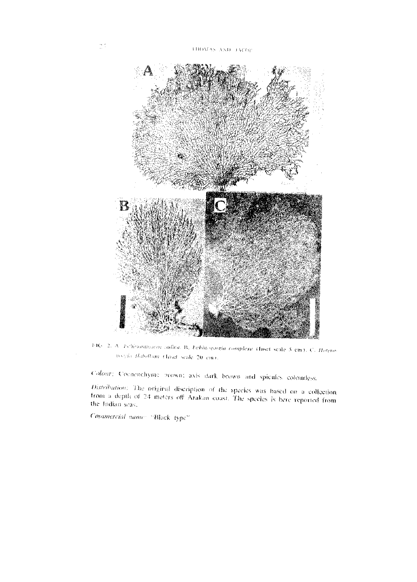

**MC**  *•lexa* ririsel scale 5 cm K *C. Helen)* would theleflum (finet scale 20 cm).

Colour: Coenenchyme prown; axis dark brown and spicules colourless.

Distribution: The original discription of the species was based on a collection from a depth of 24 meters off Arakan coast. The species is here reported from<br>the Indian sons the Indian seas.

Commercial names "Black type"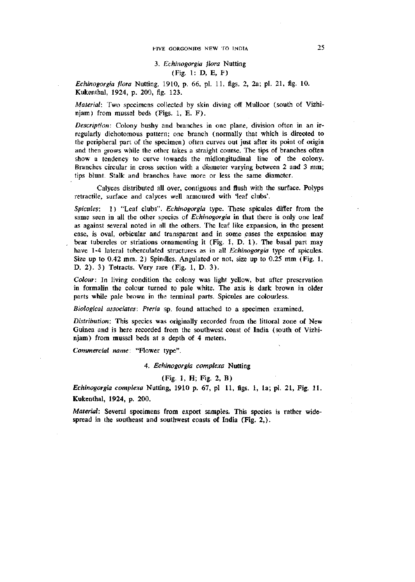# FIVE GORGONIDS NEW TO INDIA 25

# 3. *Echinogorgia flora* Nutting (Fig. 1: D, E, F)

*Echinogorgia flora* Nutting, 1910, p. 66, pi. 11, figs. 2, 2a; pi. 21, fig. 10. Kukenthal, 1924, p. 209, fig. 123.

*Material:* Two specimens collected by skin diving off Mulloor (south of Vizhinjam) from mussel beds (Figs. 1, E. F).

*Description:* Colony bushy and branches in one plane, division often in an irregularly dichotomous pattern; one branch (normally that which is directed to the peripheral part of the specimen) often curves out just after its point of origin and then grows while the other takes a straight course. The tips of branches often show a tendency to curve towards the midlongitudinal line of the colony. Branches circular in cross section with a diameter varying between 2 and 3 mm; tips blunt. Stalk and branches have more or less the same diameter.

Calyces distributed all over, contiguous and flush with the surface. Polyps retractile, surface and calyces well armoured with 'leaf clubs'.

*Spicules:* 1) "Leaf clubs". *Echinogorgia* type. These spicules differ from the same seen in all the other species of *Echinogorgia* in that there is only one leaf as against several noted in all the others. The leaf like expansion, in the present case, is oval, orbicular and transparent and in some cases the expansion may bear tubercles or striations ornamenting it (Fig. 1, D. 1). The basal part may have 1-4 lateral tuberculated structures as in all *Echinogorgia* type of spicules. Size up to 0.42 mm. 2) Spindles. Angulated or not, size up to 0.25 mm (Fig. 1, D. 2). 3) Tetracts. Very rare (Fig. 1, D. 3).

*Colour:* In living condition the colony was light yeUow, but after preservation in formalin the colour turned to pale white. The axis is dark brown in older parts while pale brown in the terminal parts. Spicules are colourless.

*Biological associates: Pteria* sp. found attached to a specimen examined.

*Distribution:* This species was originally recorded from the littoral zone of New Guinea and is here recorded from the southwest coast of India (south of Vizhinjam) from mussel beds at a depth of 4 meters.

*Commercial name:* "Flower type".

4. *Echinogorgia complexa* Nutting

## (Fig. 1, H; Fig. 2, B)

*Echinogorgia complexa* Nutting, 1910 p. 67, pi 11, figs. 1, la; pi. 21, Fig. 11.

Kukenthal, 1924, p. 200.

*Material:* Several specimens from export samples. This species is rather widespread in the southeast and southwest coasts of India (Fig. 2,).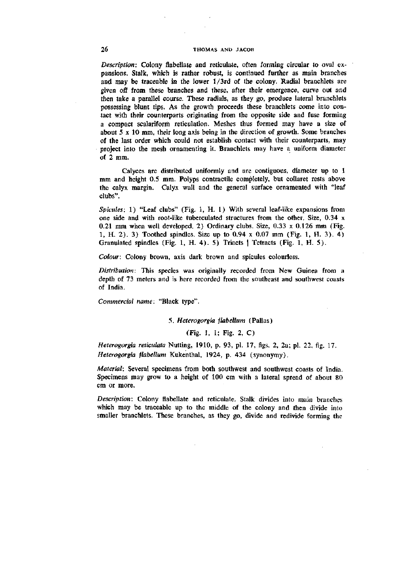## 26 THOMAS AND JACOB

*Description:* Colony flabellate and reticulate, often forming circular to oval expansions. Stalk, which is rather robust, is continued further as main branches and may be traceable in the lower l/3rd of the colony. Radial branchlets are given off from these branches and these, after their emergence, curve out and then take a parallel course. These radials, as they go, produce lateral branchlets possessing blunt tips. As the growth proceeds these branchlets come into contact with their counterparts originating from the opposite side and fuse forming a compact scalariform reticulation. Meshes thus formed may have a size of about 5 X 10 mm, their long axis being in the direction of growth. Some branches of the last order which could not establish contact with their counterparts, may project into the mesh ornamenting it. Branchlets may have a uniform diameter of 2 mm.

Calyces are distributed uniformly and are contiguous, diameter up to 1 mm and height 0.5 mm. Polyps contractile completely, but collaret rests above the calyx margin. Calyx wall and the general surface ornamented with "leaf clubs".

*Spicules:* 1) "Leaf clubs" (Fig. 1, H. 1) With several leaf-like expansions from one side and with root-like tuberculated structures from the other. Size, 0.34 x 0.21 mm when well developed. 2) Ordinary clubs. Size,  $0.33 \times 0.126$  mm (Fig. 1, H. 2). 3) Toothed spindles. Size up to 0.94 x 0.07 mm (Fig. 1, H. 3). 4) Granulated spindles (Fig. 1, H. 4). 5) Triacts | Tetracts (Fig. 1, H. 5).

*Colour:* Colony brown, axis dark brown and spicules colourless.

*Distribution:* This species was originally recorded from New Guinea from a depth of 73 meters and is here recorded from the southeast and southwest coasts of India.

*Commercial name:* "Black type".

### *5. Heterogorgia jlabellum* (Pallas)

# (Fig. 1, 1; Fig. 2, C)

*Heterogorgia reticulata* Nutting, 1910, p. 93, pi. 17, figs. 2, 2a; pi. 22, fig. 17. *Heterogorgia jlabellum* Kukenthal, 1924, p. 434 (synonymy).

*Material:* Several specimens from both southwest and southwest coasts of India. Specimens may grow to a height of 100 cm with a lateral spread of about 80 cm or more.

*Description:* Colony flabellate and reticulate. Stalk divides into main branches which may be traceable up to the middle of the colony and then divide into smaller branchlets. These branches, as they go, divide and redivide forming the